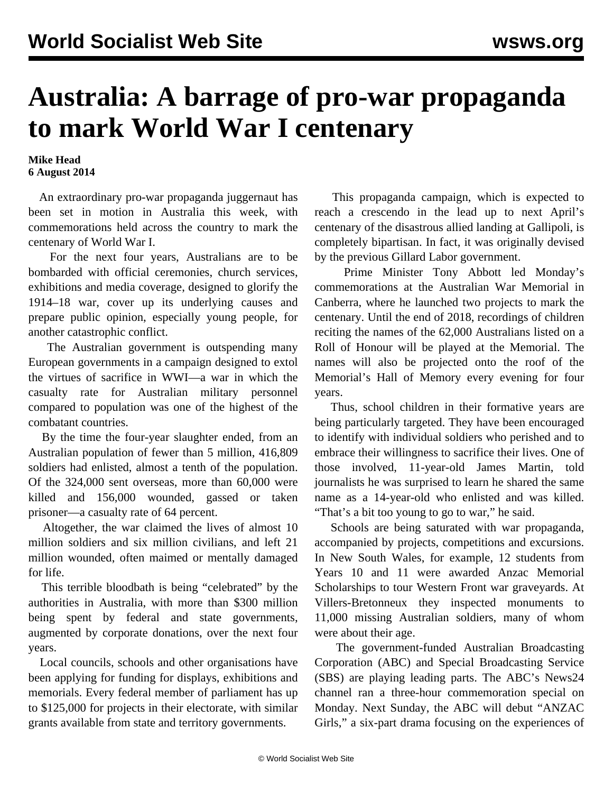## **Australia: A barrage of pro-war propaganda to mark World War I centenary**

## **Mike Head 6 August 2014**

 An extraordinary pro-war propaganda juggernaut has been set in motion in Australia this week, with commemorations held across the country to mark the centenary of World War I.

 For the next four years, Australians are to be bombarded with official ceremonies, church services, exhibitions and media coverage, designed to glorify the 1914–18 war, cover up its underlying causes and prepare public opinion, especially young people, for another catastrophic conflict.

 The Australian government is outspending many European governments in a campaign designed to extol the virtues of sacrifice in WWI—a war in which the casualty rate for Australian military personnel compared to population was one of the highest of the combatant countries.

 By the time the four-year slaughter ended, from an Australian population of fewer than 5 million, 416,809 soldiers had enlisted, almost a tenth of the population. Of the 324,000 sent overseas, more than 60,000 were killed and 156,000 wounded, gassed or taken prisoner—a casualty rate of 64 percent.

 Altogether, the war claimed the lives of almost 10 million soldiers and six million civilians, and left 21 million wounded, often maimed or mentally damaged for life.

 This terrible bloodbath is being "celebrated" by the authorities in Australia, with more than \$300 million being spent by federal and state governments, augmented by corporate donations, over the next four years.

 Local councils, schools and other organisations have been applying for funding for displays, exhibitions and memorials. Every federal member of parliament has up to \$125,000 for projects in their electorate, with similar grants available from state and territory governments.

 This propaganda campaign, which is expected to reach a crescendo in the lead up to next April's centenary of the disastrous allied landing at Gallipoli, is completely bipartisan. In fact, it was originally devised by the previous Gillard Labor government.

 Prime Minister Tony Abbott led Monday's commemorations at the Australian War Memorial in Canberra, where he launched two projects to mark the centenary. Until the end of 2018, recordings of children reciting the names of the 62,000 Australians listed on a Roll of Honour will be played at the Memorial. The names will also be projected onto the roof of the Memorial's Hall of Memory every evening for four years.

 Thus, school children in their formative years are being particularly targeted. They have been encouraged to identify with individual soldiers who perished and to embrace their willingness to sacrifice their lives. One of those involved, 11-year-old James Martin, told journalists he was surprised to learn he shared the same name as a 14-year-old who enlisted and was killed. "That's a bit too young to go to war," he said.

 Schools are being saturated with war propaganda, accompanied by projects, competitions and excursions. In New South Wales, for example, 12 students from Years 10 and 11 were awarded Anzac Memorial Scholarships to tour Western Front war graveyards. At Villers-Bretonneux they inspected monuments to 11,000 missing Australian soldiers, many of whom were about their age.

 The government-funded Australian Broadcasting Corporation (ABC) and Special Broadcasting Service (SBS) are playing leading parts. The ABC's News24 channel ran a three-hour commemoration special on Monday. Next Sunday, the ABC will debut "ANZAC Girls," a six-part drama focusing on the experiences of